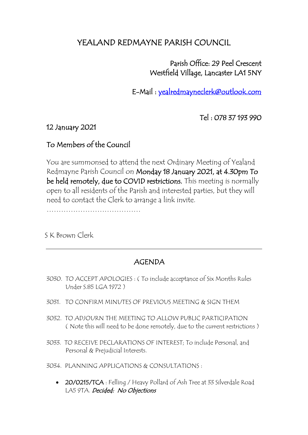# YEALAND REDMAYNE PARISH COUNCIL

 Parish Office: 29 Peel Crescent Westfield Village, Lancaster LA1 5NY

E-Mail : [yealredmayneclerk@outlook.com](mailto:yealredmayneclerk@outlook.com) 

Tel : 078 37 193 990

#### 12 January 2021

### To Members of the Council

You are summonsed to attend the next Ordinary Meeting of Yealand Redmayne Parish Council on Monday 18 January 2021, at 4.30pm To be held remotely, due to COVID restrictions. This meeting is normally open to all residents of the Parish and interested parties, but they will need to contact the Clerk to arrange a link invite.

…………………………………

S K Brown Clerk

## AGENDA

- 3030. TO ACCEPT APOLOGIES : ( To include acceptance of Six Months Rules Under S.85 LGA 1972 )
- 3031. TO CONFIRM MINUTES OF PREVIOUS MEETING & SIGN THEM
- 3032. TO ADJOURN THE MEETING TO ALLOW PUBLIC PARTICIPATION ( Note this will need to be done remotely, due to the current restrictions )
- 3033. TO RECEIVE DECLARATIONS OF INTEREST; To include Personal, and Personal & Prejudicial Interests.

3034. PLANNING APPLICATIONS & CONSULTATIONS :

• 20/0215/TCA : Felling / Heavy Pollard of Ash Tree at 33 Silverdale Road LA5 9TA. Decided: No Objections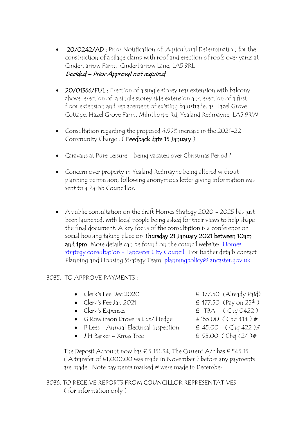- 20/0242/AD : Prior Notification of Agricultural Determination for the construction of a silage clamp with roof and erection of roofs over yards at Cinderbarrow Farm, Cinderbarrow Lane, LA5 9RL Decided – Prior Approval not required
- 20/01366/FUL : Erection of a single storey rear extension with balcony above, erection of a single storey side extension and erection of a first floor extension and replacement of existing balustrade, as Hazel Grove Cottage, Hazel Grove Farm, Milnthorpe Rd, Yealand Redmayne, LA5 9RW
- Consultation regarding the proposed 4.99% increase in the 2021-22 Community Charge : (Feedback date 15 January)
- Caravans at Pure Leisure being vacated over Christmas Period ?
- Concern over property in Yealand Redmayne being altered without planning permission; following anonymous letter giving information was sent to a Parish Councillor.
- A public consultation on the draft Homes Strategy 2020 2025 has just been launched, with local people being asked for their views to help shape the final document. A key focus of the consultation is a conference on social housing taking place on Thursday 21 January 2021 between 10am and 1pm. More details can be found on the council website: **Homes** [strategy consultation -](http://www.lancaster.gov.uk/planning/housing-strategy/homes-strategy-consultation) Lancaster City Council. For further details contact Planning and Housing Strategy Team: [planningpolicy@lancaster.gov.uk](mailto:planningpolicy@lancaster.gov.uk)

#### 3035. TO APPROVE PAYMENTS :

- 
- 
- 
- G Rowlinson Drover's Cut/ Hedge  $\epsilon$  155.00 (Chq 414) #
- P Lees Annual Electrical Inspection  $\quad \text{£ } 45.00 \text{ (Chq 422)}$ #
- J H Barker Xmas Tree  $\qquad \qquad \text{£ } 95.00 \text{ (Chq 424)}$ #
- Clerk's Fee Dec 2020  $\epsilon$  177.50 (Already Paid)
- Clerk's Fee Jan 2021  $\epsilon$  177.50 (Pay on 25<sup>th</sup>)
- Clerk's Expenses  $E = TBA$  (Chq 0422)
	-
	-
	-

The Deposit Account now has  $\epsilon$  5,151.34, The Current A/c has  $\epsilon$  545.15, ( A transfer of £1,000.00 was made in November ) before any payments are made. Note payments marked # were made in December

3036. TO RECEIVE REPORTS FROM COUNCILLOR REPRESENTATIVES ( for information only )